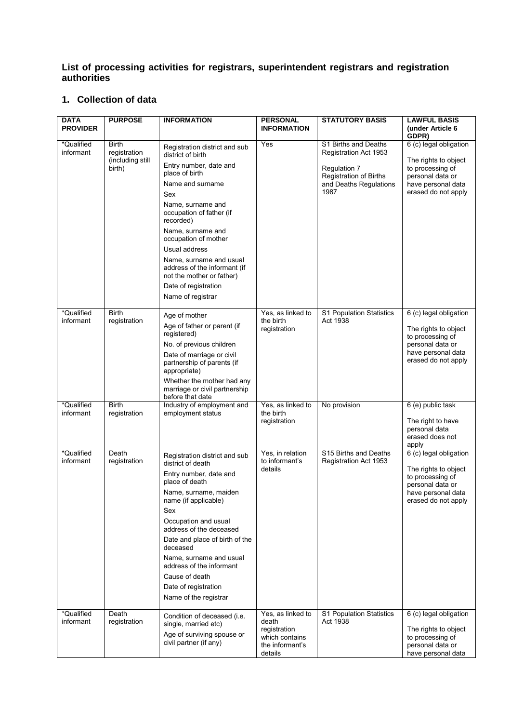## **List of processing activities for registrars, superintendent registrars and registration authorities**

## **1. Collection of data**

| <b>DATA</b><br><b>PROVIDER</b> | <b>PURPOSE</b>                                             | <b>INFORMATION</b>                                                                                                                                                                                                                                                                                                                                                                         | <b>PERSONAL</b><br><b>INFORMATION</b>                                                      | <b>STATUTORY BASIS</b>                                                                                                           | <b>LAWFUL BASIS</b><br>(under Article 6                                                                                                      |
|--------------------------------|------------------------------------------------------------|--------------------------------------------------------------------------------------------------------------------------------------------------------------------------------------------------------------------------------------------------------------------------------------------------------------------------------------------------------------------------------------------|--------------------------------------------------------------------------------------------|----------------------------------------------------------------------------------------------------------------------------------|----------------------------------------------------------------------------------------------------------------------------------------------|
| *Qualified<br>informant        | <b>Birth</b><br>registration<br>(including still<br>birth) | Registration district and sub<br>district of birth<br>Entry number, date and<br>place of birth<br>Name and surname<br>Sex<br>Name, surname and<br>occupation of father (if<br>recorded)<br>Name, surname and<br>occupation of mother<br>Usual address<br>Name, surname and usual<br>address of the informant (if<br>not the mother or father)<br>Date of registration<br>Name of registrar | Yes                                                                                        | S1 Births and Deaths<br>Registration Act 1953<br>Regulation 7<br><b>Registration of Births</b><br>and Deaths Regulations<br>1987 | GDPR)<br>6 (c) legal obligation<br>The rights to object<br>to processing of<br>personal data or<br>have personal data<br>erased do not apply |
| *Qualified<br>informant        | <b>Birth</b><br>registration                               | Age of mother<br>Age of father or parent (if<br>registered)<br>No. of previous children<br>Date of marriage or civil<br>partnership of parents (if<br>appropriate)<br>Whether the mother had any<br>marriage or civil partnership<br>before that date                                                                                                                                      | Yes, as linked to<br>the birth<br>registration                                             | S1 Population Statistics<br>Act 1938                                                                                             | 6 (c) legal obligation<br>The rights to object<br>to processing of<br>personal data or<br>have personal data<br>erased do not apply          |
| *Qualified<br>informant        | <b>Birth</b><br>registration                               | Industry of employment and<br>employment status                                                                                                                                                                                                                                                                                                                                            | Yes, as linked to<br>the birth<br>registration                                             | No provision                                                                                                                     | 6 (e) public task<br>The right to have<br>personal data<br>erased does not<br>apply                                                          |
| *Qualified<br>informant        | Death<br>registration                                      | Registration district and sub<br>district of death<br>Entry number, date and<br>place of death<br>Name, surname, maiden<br>name (if applicable)<br>Sex<br>Occupation and usual<br>address of the deceased<br>Date and place of birth of the<br>deceased<br>Name, surname and usual<br>address of the informant<br>Cause of death<br>Date of registration<br>Name of the registrar          | Yes, in relation<br>to informant's<br>details                                              | S15 Births and Deaths<br>Registration Act 1953                                                                                   | 6 (c) legal obligation<br>The rights to object<br>to processing of<br>personal data or<br>have personal data<br>erased do not apply          |
| *Qualified<br>informant        | Death<br>registration                                      | Condition of deceased (i.e.<br>single, married etc)<br>Age of surviving spouse or<br>civil partner (if any)                                                                                                                                                                                                                                                                                | Yes, as linked to<br>death<br>registration<br>which contains<br>the informant's<br>details | S1 Population Statistics<br>Act 1938                                                                                             | 6 (c) legal obligation<br>The rights to object<br>to processing of<br>personal data or<br>have personal data                                 |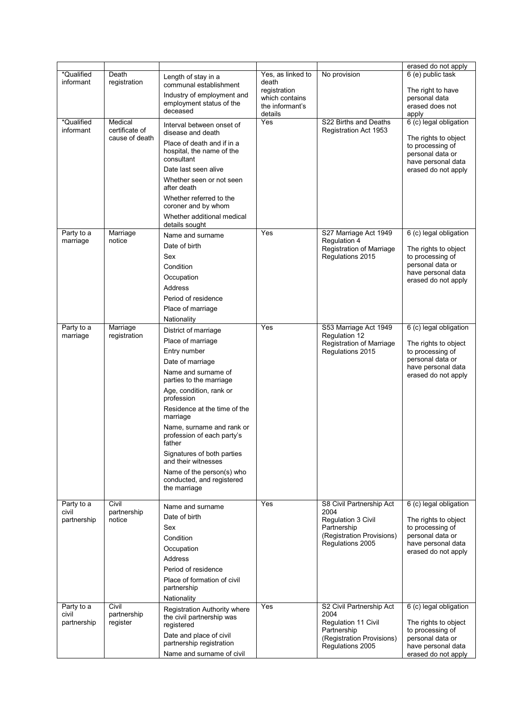|                         |                                  |                                                                        |                                                   |                                               | erased do not apply                                                                |
|-------------------------|----------------------------------|------------------------------------------------------------------------|---------------------------------------------------|-----------------------------------------------|------------------------------------------------------------------------------------|
| *Qualified<br>informant | Death<br>registration            | Length of stay in a<br>communal establishment                          | Yes, as linked to<br>death                        | No provision                                  | 6 (e) public task                                                                  |
|                         |                                  | Industry of employment and<br>employment status of the<br>deceased     | registration<br>which contains<br>the informant's |                                               | The right to have<br>personal data<br>erased does not                              |
| *Qualified              | Medical                          |                                                                        | details<br>Yes                                    | S22 Births and Deaths                         | apply<br>6 (c) legal obligation                                                    |
| informant               | certificate of<br>cause of death | Interval between onset of<br>disease and death                         |                                                   | Registration Act 1953                         |                                                                                    |
|                         |                                  | Place of death and if in a<br>hospital, the name of the<br>consultant  |                                                   |                                               | The rights to object<br>to processing of<br>personal data or<br>have personal data |
|                         |                                  | Date last seen alive                                                   |                                                   |                                               | erased do not apply                                                                |
|                         |                                  | Whether seen or not seen<br>after death                                |                                                   |                                               |                                                                                    |
|                         |                                  | Whether referred to the<br>coroner and by whom                         |                                                   |                                               |                                                                                    |
|                         |                                  | Whether additional medical<br>details sought                           |                                                   |                                               |                                                                                    |
| Party to a<br>marriage  | Marriage<br>notice               | Name and surname                                                       | Yes                                               | S27 Marriage Act 1949<br>Regulation 4         | 6 (c) legal obligation                                                             |
|                         |                                  | Date of birth                                                          |                                                   | Registration of Marriage                      | The rights to object                                                               |
|                         |                                  | Sex                                                                    |                                                   | Regulations 2015                              | to processing of                                                                   |
|                         |                                  | Condition                                                              |                                                   |                                               | personal data or<br>have personal data                                             |
|                         |                                  | Occupation                                                             |                                                   |                                               | erased do not apply                                                                |
|                         |                                  | Address                                                                |                                                   |                                               |                                                                                    |
|                         |                                  | Period of residence                                                    |                                                   |                                               |                                                                                    |
|                         |                                  | Place of marriage                                                      |                                                   |                                               |                                                                                    |
| Party to a              | Marriage                         | Nationality                                                            | Yes                                               | S53 Marriage Act 1949                         | 6 (c) legal obligation                                                             |
| marriage                | registration                     | District of marriage                                                   |                                                   | Regulation 12                                 |                                                                                    |
|                         |                                  | Place of marriage                                                      |                                                   | Registration of Marriage                      | The rights to object                                                               |
|                         |                                  | Entry number                                                           |                                                   | Regulations 2015                              | to processing of<br>personal data or                                               |
|                         |                                  | Date of marriage<br>Name and surname of                                |                                                   |                                               | have personal data<br>erased do not apply                                          |
|                         |                                  | parties to the marriage<br>Age, condition, rank or                     |                                                   |                                               |                                                                                    |
|                         |                                  | profession<br>Residence at the time of the                             |                                                   |                                               |                                                                                    |
|                         |                                  | marriage                                                               |                                                   |                                               |                                                                                    |
|                         |                                  | Name, surname and rank or<br>profession of each party's<br>father      |                                                   |                                               |                                                                                    |
|                         |                                  | Signatures of both parties<br>and their witnesses                      |                                                   |                                               |                                                                                    |
|                         |                                  | Name of the person(s) who<br>conducted, and registered<br>the marriage |                                                   |                                               |                                                                                    |
| Party to a              | Civil                            | Name and surname                                                       | Yes                                               | S8 Civil Partnership Act                      | 6 (c) legal obligation                                                             |
| civil                   | partnership                      | Date of birth                                                          |                                                   | 2004                                          |                                                                                    |
| partnership             | notice                           | Sex                                                                    |                                                   | Regulation 3 Civil<br>Partnership             | The rights to object<br>to processing of                                           |
|                         |                                  | Condition                                                              |                                                   | (Registration Provisions)                     | personal data or                                                                   |
|                         |                                  | Occupation                                                             |                                                   | Regulations 2005                              | have personal data                                                                 |
|                         |                                  | Address                                                                |                                                   |                                               | erased do not apply                                                                |
|                         |                                  | Period of residence                                                    |                                                   |                                               |                                                                                    |
|                         |                                  | Place of formation of civil                                            |                                                   |                                               |                                                                                    |
|                         |                                  | partnership                                                            |                                                   |                                               |                                                                                    |
|                         |                                  | Nationality                                                            |                                                   |                                               |                                                                                    |
| Party to a<br>civil     | Civil<br>partnership             | Registration Authority where                                           | Yes                                               | S2 Civil Partnership Act<br>2004              | 6 (c) legal obligation                                                             |
| partnership             | register                         | the civil partnership was<br>registered                                |                                                   | Regulation 11 Civil                           | The rights to object                                                               |
|                         |                                  | Date and place of civil                                                |                                                   | Partnership                                   | to processing of                                                                   |
|                         |                                  | partnership registration                                               |                                                   | (Registration Provisions)<br>Regulations 2005 | personal data or<br>have personal data                                             |
|                         |                                  | Name and surname of civil                                              |                                                   |                                               | erased do not apply                                                                |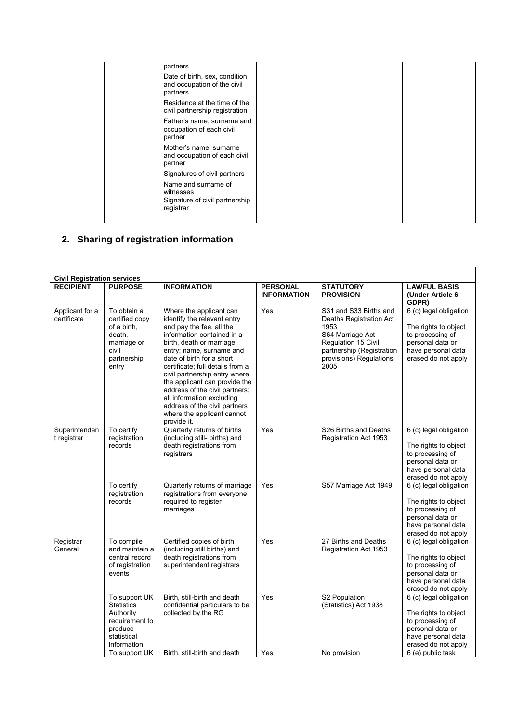| partners                                                                        |  |  |
|---------------------------------------------------------------------------------|--|--|
| Date of birth, sex, condition<br>and occupation of the civil<br>partners        |  |  |
| Residence at the time of the<br>civil partnership registration                  |  |  |
| Father's name, surname and<br>occupation of each civil<br>partner               |  |  |
| Mother's name, surname<br>and occupation of each civil<br>partner               |  |  |
| Signatures of civil partners                                                    |  |  |
| Name and surname of<br>witnesses<br>Signature of civil partnership<br>registrar |  |  |
|                                                                                 |  |  |

## **2. Sharing of registration information**

| <b>Civil Registration services</b> |                                                                                                            |                                                                                                                                                                                                                                                                                                                                                                                                                                                          |                                       |                                                                                                                                                                      |                                                                                                                                     |
|------------------------------------|------------------------------------------------------------------------------------------------------------|----------------------------------------------------------------------------------------------------------------------------------------------------------------------------------------------------------------------------------------------------------------------------------------------------------------------------------------------------------------------------------------------------------------------------------------------------------|---------------------------------------|----------------------------------------------------------------------------------------------------------------------------------------------------------------------|-------------------------------------------------------------------------------------------------------------------------------------|
| <b>RECIPIENT</b>                   | <b>PURPOSE</b>                                                                                             | <b>INFORMATION</b>                                                                                                                                                                                                                                                                                                                                                                                                                                       | <b>PERSONAL</b><br><b>INFORMATION</b> | <b>STATUTORY</b><br><b>PROVISION</b>                                                                                                                                 | <b>LAWFUL BASIS</b><br>(Under Article 6<br>GDPR)                                                                                    |
| Applicant for a<br>certificate     | To obtain a<br>certified copy<br>of a birth,<br>death,<br>marriage or<br>civil<br>partnership<br>entry     | Where the applicant can<br>identify the relevant entry<br>and pay the fee, all the<br>information contained in a<br>birth, death or marriage<br>entry; name, surname and<br>date of birth for a short<br>certificate; full details from a<br>civil partnership entry where<br>the applicant can provide the<br>address of the civil partners;<br>all information excluding<br>address of the civil partners<br>where the applicant cannot<br>provide it. | Yes                                   | S31 and S33 Births and<br>Deaths Registration Act<br>1953<br>S64 Marriage Act<br>Regulation 15 Civil<br>partnership (Registration<br>provisions) Regulations<br>2005 | 6 (c) legal obligation<br>The rights to object<br>to processing of<br>personal data or<br>have personal data<br>erased do not apply |
| Superintenden<br>t registrar       | To certify<br>registration<br>records                                                                      | Quarterly returns of births<br>(including still- births) and<br>death registrations from<br>registrars                                                                                                                                                                                                                                                                                                                                                   | Yes                                   | S26 Births and Deaths<br>Registration Act 1953                                                                                                                       | 6 (c) legal obligation<br>The rights to object<br>to processing of<br>personal data or<br>have personal data<br>erased do not apply |
|                                    | To certify<br>registration<br>records                                                                      | Quarterly returns of marriage<br>registrations from everyone<br>required to register<br>marriages                                                                                                                                                                                                                                                                                                                                                        | Yes                                   | S57 Marriage Act 1949                                                                                                                                                | 6 (c) legal obligation<br>The rights to object<br>to processing of<br>personal data or<br>have personal data<br>erased do not apply |
| Registrar<br>General               | To compile<br>and maintain a<br>central record<br>of registration<br>events                                | Certified copies of birth<br>(including still births) and<br>death registrations from<br>superintendent registrars                                                                                                                                                                                                                                                                                                                                       | $\overline{Yes}$                      | 27 Births and Deaths<br>Registration Act 1953                                                                                                                        | 6 (c) legal obligation<br>The rights to object<br>to processing of<br>personal data or<br>have personal data<br>erased do not apply |
|                                    | To support UK<br><b>Statistics</b><br>Authority<br>requirement to<br>produce<br>statistical<br>information | Birth, still-birth and death<br>confidential particulars to be<br>collected by the RG<br>Birth, still-birth and death                                                                                                                                                                                                                                                                                                                                    | Yes<br>Yes                            | S2 Population<br>(Statistics) Act 1938                                                                                                                               | 6 (c) legal obligation<br>The rights to object<br>to processing of<br>personal data or<br>have personal data<br>erased do not apply |
|                                    | To support UK                                                                                              |                                                                                                                                                                                                                                                                                                                                                                                                                                                          |                                       | No provision                                                                                                                                                         | 6 (e) public task                                                                                                                   |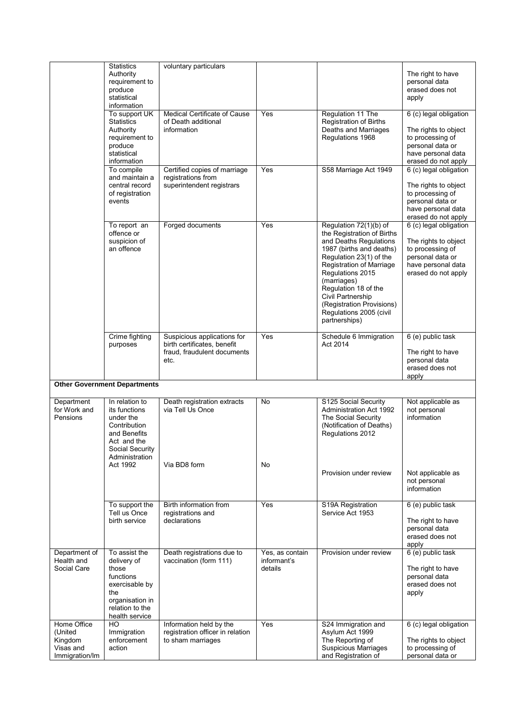|                                                                  | <b>Statistics</b><br>Authority<br>requirement to<br>produce<br>statistical<br>information                                           | voluntary particulars                                                                             |                                           |                                                                                                                                                                                                                                                                                                                            | The right to have<br>personal data<br>erased does not<br>apply                                                                      |
|------------------------------------------------------------------|-------------------------------------------------------------------------------------------------------------------------------------|---------------------------------------------------------------------------------------------------|-------------------------------------------|----------------------------------------------------------------------------------------------------------------------------------------------------------------------------------------------------------------------------------------------------------------------------------------------------------------------------|-------------------------------------------------------------------------------------------------------------------------------------|
|                                                                  | To support UK<br><b>Statistics</b><br>Authority<br>requirement to<br>produce<br>statistical<br>information                          | Medical Certificate of Cause<br>of Death additional<br>information                                | Yes                                       | Regulation 11 The<br><b>Registration of Births</b><br>Deaths and Marriages<br>Regulations 1968                                                                                                                                                                                                                             | 6 (c) legal obligation<br>The rights to object<br>to processing of<br>personal data or<br>have personal data<br>erased do not apply |
|                                                                  | To compile<br>and maintain a<br>central record<br>of registration<br>events                                                         | Certified copies of marriage<br>registrations from<br>superintendent registrars                   | Yes                                       | S58 Marriage Act 1949                                                                                                                                                                                                                                                                                                      | 6 (c) legal obligation<br>The rights to object<br>to processing of<br>personal data or<br>have personal data<br>erased do not apply |
|                                                                  | To report an<br>offence or<br>suspicion of<br>an offence                                                                            | Forged documents                                                                                  | Yes                                       | Regulation 72(1)(b) of<br>the Registration of Births<br>and Deaths Regulations<br>1987 (births and deaths)<br>Regulation 23(1) of the<br>Registration of Marriage<br>Regulations 2015<br>(marriages)<br>Regulation 18 of the<br>Civil Partnership<br>(Registration Provisions)<br>Regulations 2005 (civil<br>partnerships) | 6 (c) legal obligation<br>The rights to object<br>to processing of<br>personal data or<br>have personal data<br>erased do not apply |
|                                                                  | Crime fighting<br>purposes                                                                                                          | Suspicious applications for<br>birth certificates, benefit<br>fraud, fraudulent documents<br>etc. | Yes                                       | Schedule 6 Immigration<br>Act 2014                                                                                                                                                                                                                                                                                         | 6 (e) public task<br>The right to have<br>personal data<br>erased does not<br>apply                                                 |
|                                                                  | <b>Other Government Departments</b>                                                                                                 |                                                                                                   |                                           |                                                                                                                                                                                                                                                                                                                            |                                                                                                                                     |
| Department<br>for Work and<br>Pensions                           | In relation to<br>its functions<br>under the<br>Contribution<br>and Benefits<br>Act and the<br>Social Security<br>Administration    | Death registration extracts<br>via Tell Us Once                                                   | No                                        | S125 Social Security<br><b>Administration Act 1992</b><br>The Social Security<br>(Notification of Deaths)<br>Regulations 2012                                                                                                                                                                                              | Not applicable as<br>not personal<br>information                                                                                    |
|                                                                  | Act 1992                                                                                                                            | Via BD8 form                                                                                      | No                                        | Provision under review                                                                                                                                                                                                                                                                                                     | Not applicable as<br>not personal<br>information                                                                                    |
|                                                                  | To support the<br>Tell us Once<br>birth service                                                                                     | Birth information from<br>registrations and<br>declarations                                       | Yes                                       | S19A Registration<br>Service Act 1953                                                                                                                                                                                                                                                                                      | 6 (e) public task<br>The right to have<br>personal data<br>erased does not<br>apply                                                 |
| Department of<br>Health and<br>Social Care                       | To assist the<br>delivery of<br>those<br>functions<br>exercisable by<br>the<br>organisation in<br>relation to the<br>health service | Death registrations due to<br>vaccination (form 111)                                              | Yes, as contain<br>informant's<br>details | Provision under review                                                                                                                                                                                                                                                                                                     | 6 (e) public task<br>The right to have<br>personal data<br>erased does not<br>apply                                                 |
| Home Office<br>(United<br>Kingdom<br>Visas and<br>Immigration/Im | HO<br>Immigration<br>enforcement<br>action                                                                                          | Information held by the<br>registration officer in relation<br>to sham marriages                  | Yes                                       | S24 Immigration and<br>Asylum Act 1999<br>The Reporting of<br><b>Suspicious Marriages</b><br>and Registration of                                                                                                                                                                                                           | 6 (c) legal obligation<br>The rights to object<br>to processing of<br>personal data or                                              |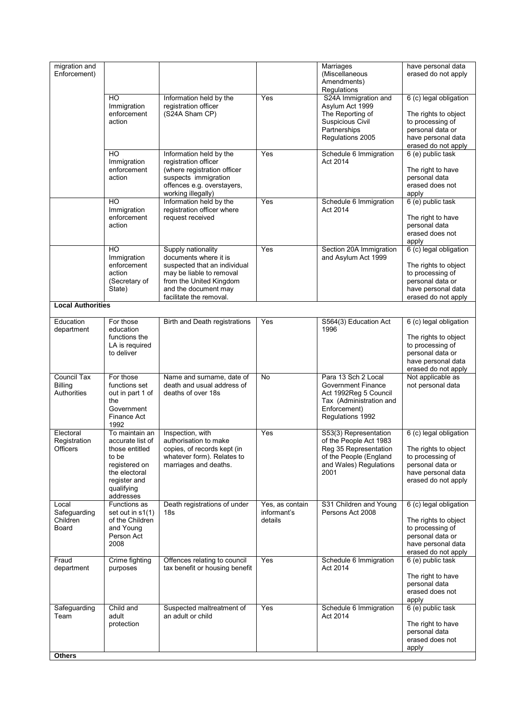| migration and<br>Enforcement)                       |                                                                                                                                            |                                                                                                                                                                                       |                                           | Marriages<br>(Miscellaneous<br>Amendments)<br>Regulations                                                                                | have personal data<br>erased do not apply                                                                                           |
|-----------------------------------------------------|--------------------------------------------------------------------------------------------------------------------------------------------|---------------------------------------------------------------------------------------------------------------------------------------------------------------------------------------|-------------------------------------------|------------------------------------------------------------------------------------------------------------------------------------------|-------------------------------------------------------------------------------------------------------------------------------------|
|                                                     | HO<br>Immigration<br>enforcement<br>action                                                                                                 | Information held by the<br>registration officer<br>(S24A Sham CP)                                                                                                                     | Yes                                       | S24A Immigration and<br>Asylum Act 1999<br>The Reporting of<br>Suspicious Civil<br>Partnerships<br>Regulations 2005                      | 6 (c) legal obligation<br>The rights to object<br>to processing of<br>personal data or<br>have personal data<br>erased do not apply |
|                                                     | HO.<br>Immigration<br>enforcement<br>action                                                                                                | Information held by the<br>registration officer<br>(where registration officer<br>suspects immigration<br>offences e.g. overstayers,<br>working illegally)                            | Yes                                       | Schedule 6 Immigration<br>Act 2014                                                                                                       | 6 (e) public task<br>The right to have<br>personal data<br>erased does not<br>apply                                                 |
|                                                     | HO<br>Immigration<br>enforcement<br>action                                                                                                 | Information held by the<br>registration officer where<br>request received                                                                                                             | Yes                                       | Schedule 6 Immigration<br>Act 2014                                                                                                       | 6 (e) public task<br>The right to have<br>personal data<br>erased does not<br>apply                                                 |
|                                                     | $\overline{HO}$<br>Immigration<br>enforcement<br>action<br>(Secretary of<br>State)                                                         | Supply nationality<br>documents where it is<br>suspected that an individual<br>may be liable to removal<br>from the United Kingdom<br>and the document may<br>facilitate the removal. | Yes                                       | Section 20A Immigration<br>and Asylum Act 1999                                                                                           | 6 (c) legal obligation<br>The rights to object<br>to processing of<br>personal data or<br>have personal data<br>erased do not apply |
| <b>Local Authorities</b>                            |                                                                                                                                            |                                                                                                                                                                                       |                                           |                                                                                                                                          |                                                                                                                                     |
| Education<br>department                             | For those<br>education<br>functions the<br>LA is required<br>to deliver                                                                    | Birth and Death registrations                                                                                                                                                         | Yes                                       | S564(3) Education Act<br>1996                                                                                                            | 6 (c) legal obligation<br>The rights to object<br>to processing of<br>personal data or<br>have personal data<br>erased do not apply |
| <b>Council Tax</b><br><b>Billing</b><br>Authorities | For those<br>functions set<br>out in part 1 of<br>the<br>Government<br>Finance Act<br>1992                                                 | Name and surname, date of<br>death and usual address of<br>deaths of over 18s                                                                                                         | No                                        | Para 13 Sch 2 Local<br><b>Government Finance</b><br>Act 1992Reg 5 Council<br>Tax (Administration and<br>Enforcement)<br>Regulations 1992 | Not applicable as<br>not personal data                                                                                              |
| Electoral<br>Registration<br>Officers               | To maintain an<br>accurate list of<br>those entitled<br>to be<br>registered on<br>the electoral<br>register and<br>qualifying<br>addresses | Inspection, with<br>authorisation to make<br>copies, of records kept (in<br>whatever form). Relates to<br>marriages and deaths.                                                       | Yes                                       | S53(3) Representation<br>of the People Act 1983<br>Reg 35 Representation<br>of the People (England<br>and Wales) Regulations<br>2001     | 6 (c) legal obligation<br>The rights to object<br>to processing of<br>personal data or<br>have personal data<br>erased do not apply |
| Local<br>Safeguarding<br>Children<br>Board          | Functions as<br>set out in s1(1)<br>of the Children<br>and Young<br>Person Act<br>2008                                                     | Death registrations of under<br>18s                                                                                                                                                   | Yes, as contain<br>informant's<br>details | S31 Children and Young<br>Persons Act 2008                                                                                               | 6 (c) legal obligation<br>The rights to object<br>to processing of<br>personal data or<br>have personal data<br>erased do not apply |
| Fraud<br>department                                 | Crime fighting<br>purposes                                                                                                                 | Offences relating to council<br>tax benefit or housing benefit                                                                                                                        | Yes                                       | Schedule 6 Immigration<br>Act 2014                                                                                                       | 6 (e) public task<br>The right to have<br>personal data<br>erased does not<br>apply                                                 |
| Safeguarding<br>Team                                | Child and<br>adult<br>protection                                                                                                           | Suspected maltreatment of<br>an adult or child                                                                                                                                        | Yes                                       | Schedule 6 Immigration<br>Act 2014                                                                                                       | 6 (e) public task<br>The right to have<br>personal data<br>erased does not<br>apply                                                 |
| <b>Others</b>                                       |                                                                                                                                            |                                                                                                                                                                                       |                                           |                                                                                                                                          |                                                                                                                                     |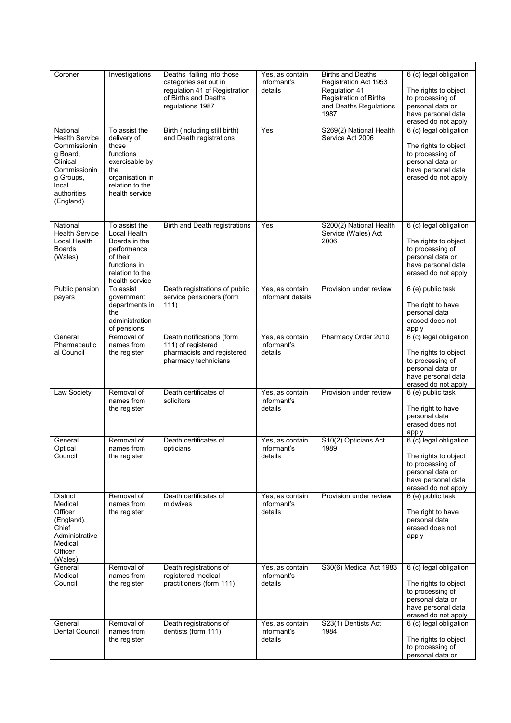| Coroner                                                                                                                                     | Investigations                                                                                                                      | Deaths falling into those<br>categories set out in<br>regulation 41 of Registration<br>of Births and Deaths<br>regulations 1987 | Yes, as contain<br>informant's<br>details | <b>Births and Deaths</b><br>Registration Act 1953<br>Regulation 41<br><b>Registration of Births</b><br>and Deaths Regulations<br>1987 | 6 (c) legal obligation<br>The rights to object<br>to processing of<br>personal data or<br>have personal data<br>erased do not apply |
|---------------------------------------------------------------------------------------------------------------------------------------------|-------------------------------------------------------------------------------------------------------------------------------------|---------------------------------------------------------------------------------------------------------------------------------|-------------------------------------------|---------------------------------------------------------------------------------------------------------------------------------------|-------------------------------------------------------------------------------------------------------------------------------------|
| National<br><b>Health Service</b><br>Commissionin<br>g Board,<br>Clinical<br>Commissionin<br>g Groups,<br>local<br>authorities<br>(England) | To assist the<br>delivery of<br>those<br>functions<br>exercisable by<br>the<br>organisation in<br>relation to the<br>health service | Birth (including still birth)<br>and Death registrations                                                                        | Yes                                       | S269(2) National Health<br>Service Act 2006                                                                                           | 6 (c) legal obligation<br>The rights to object<br>to processing of<br>personal data or<br>have personal data<br>erased do not apply |
| National<br><b>Health Service</b><br>Local Health<br><b>Boards</b><br>(Wales)                                                               | To assist the<br>Local Health<br>Boards in the<br>performance<br>of their<br>functions in<br>relation to the<br>health service      | Birth and Death registrations                                                                                                   | Yes                                       | S200(2) National Health<br>Service (Wales) Act<br>2006                                                                                | 6 (c) legal obligation<br>The rights to object<br>to processing of<br>personal data or<br>have personal data<br>erased do not apply |
| Public pension<br>payers                                                                                                                    | To assist<br>government<br>departments in<br>the<br>administration<br>of pensions                                                   | Death registrations of public<br>service pensioners (form<br>111)                                                               | Yes, as contain<br>informant details      | Provision under review                                                                                                                | 6 (e) public task<br>The right to have<br>personal data<br>erased does not<br>apply                                                 |
| General<br>Pharmaceutic<br>al Council                                                                                                       | Removal of<br>names from<br>the register                                                                                            | Death notifications (form<br>111) of registered<br>pharmacists and registered<br>pharmacy technicians                           | Yes, as contain<br>informant's<br>details | Pharmacy Order 2010                                                                                                                   | 6 (c) legal obligation<br>The rights to object<br>to processing of<br>personal data or<br>have personal data<br>erased do not apply |
| Law Society                                                                                                                                 | Removal of<br>names from<br>the register                                                                                            | Death certificates of<br>solicitors                                                                                             | Yes, as contain<br>informant's<br>details | Provision under review                                                                                                                | 6 (e) public task<br>The right to have<br>personal data<br>erased does not<br>apply                                                 |
| General<br>Ontical<br>Council                                                                                                               | Removal of<br>names from<br>the register                                                                                            | Death certificates of<br>opticians                                                                                              | Yes, as contain<br>informant's<br>details | S10(2) Opticians Act<br>1989                                                                                                          | 6 (c) legal obligation<br>The rights to object<br>to processing of<br>personal data or<br>have personal data<br>erased do not apply |
| District<br>Medical<br>Officer<br>(England).<br>Chief<br>Administrative<br>Medical<br>Officer<br>(Wales)                                    | Removal of<br>names from<br>the register                                                                                            | Death certificates of<br>midwives                                                                                               | Yes, as contain<br>informant's<br>details | Provision under review                                                                                                                | 6 (e) public task<br>The right to have<br>personal data<br>erased does not<br>apply                                                 |
| General<br>Medical<br>Council                                                                                                               | Removal of<br>names from<br>the register                                                                                            | Death registrations of<br>registered medical<br>practitioners (form 111)                                                        | Yes, as contain<br>informant's<br>details | S30(6) Medical Act 1983                                                                                                               | 6 (c) legal obligation<br>The rights to object<br>to processing of<br>personal data or<br>have personal data<br>erased do not apply |
| General<br>Dental Council                                                                                                                   | Removal of<br>names from<br>the register                                                                                            | Death registrations of<br>dentists (form 111)                                                                                   | Yes, as contain<br>informant's<br>details | S23(1) Dentists Act<br>1984                                                                                                           | 6 (c) legal obligation<br>The rights to object<br>to processing of<br>personal data or                                              |